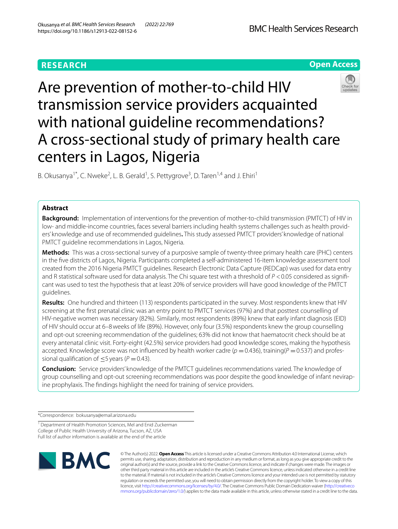# **RESEARCH**





Are prevention of mother-to-child HIV transmission service providers acquainted with national guideline recommendations? A cross-sectional study of primary health care centers in Lagos, Nigeria

B. Okusanya<sup>1\*</sup>, C. Nweke<sup>2</sup>, L. B. Gerald<sup>1</sup>, S. Pettygrove<sup>3</sup>, D. Taren<sup>1,4</sup> and J. Ehiri<sup>1</sup>

## **Abstract**

**Background:** Implementation of interventions for the prevention of mother-to-child transmission (PMTCT) of HIV in low- and middle-income countries, faces several barriers including health systems challenges such as health providers' knowledge and use of recommended guidelines**.** This study assessed PMTCT providers' knowledge of national PMTCT guideline recommendations in Lagos, Nigeria.

**Methods:** This was a cross-sectional survey of a purposive sample of twenty-three primary health care (PHC) centers in the fve districts of Lagos, Nigeria. Participants completed a self-administered 16-item knowledge assessment tool created from the 2016 Nigeria PMTCT guidelines. Research Electronic Data Capture (REDCap) was used for data entry and R statistical software used for data analysis. The Chi square test with a threshold of  $P < 0.05$  considered as significant was used to test the hypothesis that at least 20% of service providers will have good knowledge of the PMTCT guidelines.

**Results:** One hundred and thirteen (113) respondents participated in the survey. Most respondents knew that HIV screening at the frst prenatal clinic was an entry point to PMTCT services (97%) and that posttest counselling of HIV-negative women was necessary (82%). Similarly, most respondents (89%) knew that early infant diagnosis (EID) of HIV should occur at 6–8weeks of life (89%). However, only four (3.5%) respondents knew the group counselling and opt-out screening recommendation of the guidelines; 63% did not know that haematocrit check should be at every antenatal clinic visit. Forty-eight (42.5%) service providers had good knowledge scores, making the hypothesis accepted. Knowledge score was not influenced by health worker cadre ( $p = 0.436$ ), training( $P = 0.537$ ) and professional qualification of  $\leq$ 5 years ( $P$  = 0.43).

**Conclusion:** Service providers' knowledge of the PMTCT guidelines recommendations varied. The knowledge of group counselling and opt-out screening recommendations was poor despite the good knowledge of infant nevirapine prophylaxis. The fndings highlight the need for training of service providers.

\*Correspondence: bokusanya@email.arizona.edu

<sup>1</sup> Department of Health Promotion Sciences, Mel and Enid Zuckerman College of Public Health University of Arizona, Tucson, AZ, USA Full list of author information is available at the end of the article



© The Author(s) 2022. **Open Access** This article is licensed under a Creative Commons Attribution 4.0 International License, which permits use, sharing, adaptation, distribution and reproduction in any medium or format, as long as you give appropriate credit to the original author(s) and the source, provide a link to the Creative Commons licence, and indicate if changes were made. The images or other third party material in this article are included in the article's Creative Commons licence, unless indicated otherwise in a credit line to the material. If material is not included in the article's Creative Commons licence and your intended use is not permitted by statutory regulation or exceeds the permitted use, you will need to obtain permission directly from the copyright holder. To view a copy of this licence, visit [http://creativecommons.org/licenses/by/4.0/.](http://creativecommons.org/licenses/by/4.0/) The Creative Commons Public Domain Dedication waiver ([http://creativeco](http://creativecommons.org/publicdomain/zero/1.0/) [mmons.org/publicdomain/zero/1.0/](http://creativecommons.org/publicdomain/zero/1.0/)) applies to the data made available in this article, unless otherwise stated in a credit line to the data.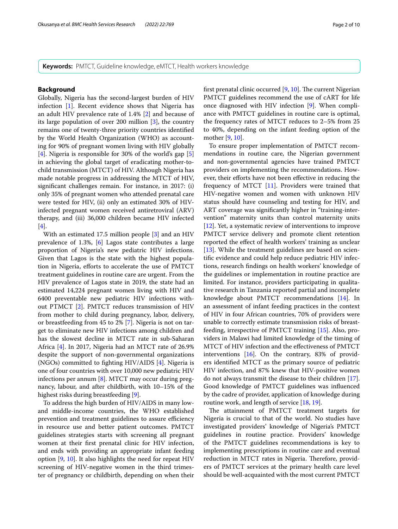**Keywords:** PMTCT, Guideline knowledge, eMTCT, Health workers knowledge

## **Background**

Globally, Nigeria has the second-largest burden of HIV infection [\[1](#page-8-0)]. Recent evidence shows that Nigeria has an adult HIV prevalence rate of 1.4% [\[2](#page-8-1)] and because of its large population of over 200 million [\[3](#page-8-2)], the country remains one of twenty-three priority countries identifed by the World Health Organization (WHO) as accounting for 90% of pregnant women living with HIV globally [[4\]](#page-8-3). Nigeria is responsible for 30% of the world's gap [\[5](#page-8-4)] in achieving the global target of eradicating mother-tochild transmission (MTCT) of HIV. Although Nigeria has made notable progress in addressing the MTCT of HIV, signifcant challenges remain. For instance, in 2017: (i) only 35% of pregnant women who attended prenatal care were tested for HIV, (ii) only an estimated 30% of HIVinfected pregnant women received antiretroviral (ARV) therapy, and (iii) 36,000 children became HIV infected [[4\]](#page-8-3).

With an estimated 17.5 million people [\[3](#page-8-2)] and an HIV prevalence of 1.3%, [\[6](#page-8-5)] Lagos state contributes a large proportion of Nigeria's new pediatric HIV infections. Given that Lagos is the state with the highest population in Nigeria, efforts to accelerate the use of PMTCT treatment guidelines in routine care are urgent. From the HIV prevalence of Lagos state in 2019, the state had an estimated 14,224 pregnant women living with HIV and 6400 preventable new pediatric HIV infections without PTMCT [\[2](#page-8-1)]. PMTCT reduces transmission of HIV from mother to child during pregnancy, labor, delivery, or breastfeeding from 45 to 2% [\[7](#page-8-6)]. Nigeria is not on target to eliminate new HIV infections among children and has the slowest decline in MTCT rate in sub-Saharan Africa [[4](#page-8-3)]. In 2017, Nigeria had an MTCT rate of 26.9% despite the support of non-governmental organizations (NGOs) committed to fghting HIV/AIDS [\[4](#page-8-3)]. Nigeria is one of four countries with over 10,000 new pediatric HIV infections per annum [[8\]](#page-8-7). MTCT may occur during pregnancy, labour, and after childbirth, with 10–15% of the highest risks during breastfeeding [\[9](#page-8-8)].

To address the high burden of HIV/AIDS in many lowand middle-income countries, the WHO established prevention and treatment guidelines to assure efficiency in resource use and better patient outcomes. PMTCT guidelines strategies starts with screening all pregnant women at their frst prenatal clinic for HIV infection, and ends with providing an appropriate infant feeding option [[9,](#page-8-8) [10\]](#page-8-9). It also highlights the need for repeat HIV screening of HIV-negative women in the third trimester of pregnancy or childbirth, depending on when their first prenatal clinic occurred  $[9, 10]$  $[9, 10]$  $[9, 10]$ . The current Nigerian PMTCT guidelines recommend the use of cART for life once diagnosed with HIV infection [[9\]](#page-8-8). When compliance with PMTCT guidelines in routine care is optimal, the frequency rates of MTCT reduces to 2–5% from 25 to 40%, depending on the infant feeding option of the mother [\[9](#page-8-8), [10\]](#page-8-9).

To ensure proper implementation of PMTCT recommendations in routine care, the Nigerian government and non-governmental agencies have trained PMTCT providers on implementing the recommendations. However, their eforts have not been efective in reducing the frequency of MTCT  $[11]$ . Providers were trained that HIV-negative women and women with unknown HIV status should have counseling and testing for HIV, and ART coverage was signifcantly higher in "training-intervention" maternity units than control maternity units [[12\]](#page-9-1). Yet, a systematic review of interventions to improve PMTCT service delivery and promote client retention reported the efect of health workers' training as unclear [[13\]](#page-9-2). While the treatment guidelines are based on scientifc evidence and could help reduce pediatric HIV infections, research fndings on health workers' knowledge of the guidelines or implementation in routine practice are limited. For instance, providers participating in qualitative research in Tanzania reported partial and incomplete knowledge about PMTCT recommendations [\[14](#page-9-3)]. In an assessment of infant feeding practices in the context of HIV in four African countries, 70% of providers were unable to correctly estimate transmission risks of breastfeeding, irrespective of PMTCT training [[15](#page-9-4)]. Also, providers in Malawi had limited knowledge of the timing of MTCT of HIV infection and the efectiveness of PMTCT interventions [\[16](#page-9-5)]. On the contrary, 83% of providers identifed MTCT as the primary source of pediatric HIV infection, and 87% knew that HIV-positive women do not always transmit the disease to their children [\[17](#page-9-6)]. Good knowledge of PMTCT guidelines was infuenced by the cadre of provider, application of knowledge during routine work, and length of service [[18](#page-9-7), [19\]](#page-9-8).

The attainment of PMTCT treatment targets for Nigeria is crucial to that of the world. No studies have investigated providers' knowledge of Nigeria's PMTCT guidelines in routine practice. Providers' knowledge of the PMTCT guidelines recommendations is key to implementing prescriptions in routine care and eventual reduction in MTCT rates in Nigeria. Therefore, providers of PMTCT services at the primary health care level should be well-acquainted with the most current PMTCT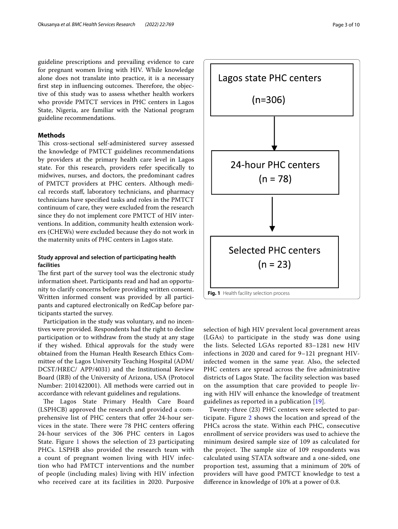guideline prescriptions and prevailing evidence to care for pregnant women living with HIV. While knowledge alone does not translate into practice, it is a necessary first step in influencing outcomes. Therefore, the objective of this study was to assess whether health workers who provide PMTCT services in PHC centers in Lagos State, Nigeria, are familiar with the National program guideline recommendations.

## **Methods**

This cross-sectional self-administered survey assessed the knowledge of PMTCT guidelines recommendations by providers at the primary health care level in Lagos state. For this research, providers refer specifcally to midwives, nurses, and doctors, the predominant cadres of PMTCT providers at PHC centers. Although medical records staf, laboratory technicians, and pharmacy technicians have specifed tasks and roles in the PMTCT continuum of care, they were excluded from the research since they do not implement core PMTCT of HIV interventions. In addition, community health extension workers (CHEWs) were excluded because they do not work in the maternity units of PHC centers in Lagos state.

## **Study approval and selection of participating health facilities**

The first part of the survey tool was the electronic study information sheet. Participants read and had an opportunity to clarify concerns before providing written consent. Written informed consent was provided by all participants and captured electronically on RedCap before participants started the survey.

Participation in the study was voluntary, and no incentives were provided. Respondents had the right to decline participation or to withdraw from the study at any stage if they wished. Ethical approvals for the study were obtained from the Human Health Research Ethics Committee of the Lagos University Teaching Hospital (ADM/ DCST/HREC/ APP/4031) and the Institutional Review Board (IRB) of the University of Arizona, USA (Protocol Number: 2101422001). All methods were carried out in accordance with relevant guidelines and regulations.

The Lagos State Primary Health Care Board (LSPHCB) approved the research and provided a comprehensive list of PHC centers that offer 24-hour services in the state. There were 78 PHC centers offering 24-hour services of the 306 PHC centers in Lagos State. Figure [1](#page-2-0) shows the selection of 23 participating PHCs. LSPHB also provided the research team with a count of pregnant women living with HIV infection who had PMTCT interventions and the number of people (including males) living with HIV infection who received care at its facilities in 2020. Purposive



<span id="page-2-0"></span>selection of high HIV prevalent local government areas (LGAs) to participate in the study was done using the lists. Selected LGAs reported 83–1281 new HIV infections in 2020 and cared for 9–121 pregnant HIVinfected women in the same year. Also, the selected PHC centers are spread across the five administrative districts of Lagos State. The facility selection was based on the assumption that care provided to people living with HIV will enhance the knowledge of treatment guidelines as reported in a publication [[19\]](#page-9-8).

Twenty-three (23) PHC centers were selected to participate. Figure [2](#page-3-0) shows the location and spread of the PHCs across the state. Within each PHC, consecutive enrollment of service providers was used to achieve the minimum desired sample size of 109 as calculated for the project. The sample size of 109 respondents was calculated using STATA software and a one-sided, one proportion test, assuming that a minimum of 20% of providers will have good PMTCT knowledge to test a diference in knowledge of 10% at a power of 0.8.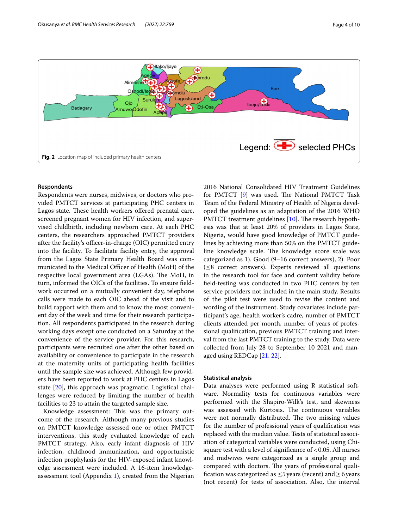

## <span id="page-3-0"></span>**Respondents**

Respondents were nurses, midwives, or doctors who provided PMTCT services at participating PHC centers in Lagos state. These health workers offered prenatal care, screened pregnant women for HIV infection, and supervised childbirth, including newborn care. At each PHC centers, the researchers approached PMTCT providers after the facility's officer-in-charge  $(OIC)$  permitted entry into the facility. To facilitate facility entry, the approval from the Lagos State Primary Health Board was communicated to the Medical Officer of Health (MoH) of the respective local government area (LGAs). The MoH, in turn, informed the OICs of the facilities. To ensure feldwork occurred on a mutually convenient day, telephone calls were made to each OIC ahead of the visit and to build rapport with them and to know the most convenient day of the week and time for their research participation. All respondents participated in the research during working days except one conducted on a Saturday at the convenience of the service provider. For this research, participants were recruited one after the other based on availability or convenience to participate in the research at the maternity units of participating health facilities until the sample size was achieved. Although few providers have been reported to work at PHC centers in Lagos state [\[20](#page-9-9)], this approach was pragmatic. Logistical challenges were reduced by limiting the number of health facilities to 23 to attain the targeted sample size.

Knowledge assessment: This was the primary outcome of the research. Although many previous studies on PMTCT knowledge assessed one or other PMTCT interventions, this study evaluated knowledge of each PMTCT strategy. Also, early infant diagnosis of HIV infection, childhood immunization, and opportunistic infection prophylaxis for the HIV-exposed infant knowledge assessment were included. A 16-item knowledgeassessment tool (Appendix [1](#page-8-10)), created from the Nigerian 2016 National Consolidated HIV Treatment Guidelines for PMTCT [\[9\]](#page-8-8) was used. The National PMTCT Task Team of the Federal Ministry of Health of Nigeria developed the guidelines as an adaptation of the 2016 WHO PMTCT treatment guidelines  $[10]$  $[10]$ . The research hypothesis was that at least 20% of providers in Lagos State, Nigeria, would have good knowledge of PMTCT guidelines by achieving more than 50% on the PMTCT guideline knowledge scale. The knowledge score scale was categorized as 1). Good (9–16 correct answers), 2). Poor  $(\leq 8$  correct answers). Experts reviewed all questions in the research tool for face and content validity before feld-testing was conducted in two PHC centers by ten service providers not included in the main study. Results of the pilot test were used to revise the content and wording of the instrument. Study covariates include participant's age, health worker's cadre, number of PMTCT clients attended per month, number of years of professional qualifcation, previous PMTCT training and interval from the last PMTCT training to the study. Data were collected from July 28 to September 10 2021 and managed using REDCap [[21](#page-9-10), [22\]](#page-9-11).

## **Statistical analysis**

Data analyses were performed using R statistical software. Normality tests for continuous variables were performed with the Shapiro-Wilk's test, and skewness was assessed with Kurtosis. The continuous variables were not normally distributed. The two missing values for the number of professional years of qualifcation was replaced with the median value. Tests of statistical association of categorical variables were conducted, using Chisquare test with a level of significance of  $< 0.05$ . All nurses and midwives were categorized as a single group and compared with doctors. The years of professional qualification was categorized as  $\leq$ 5 years (recent) and  $\geq$  6 years (not recent) for tests of association. Also, the interval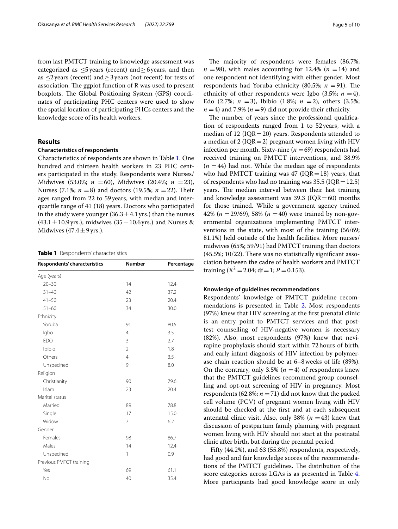from last PMTCT training to knowledge assessment was categorized as  $\leq 5$  years (recent) and  $\geq 6$  years, and then as  $\leq$ 2 years (recent) and  $\geq$ 3 years (not recent) for tests of association. The ggplot function of R was used to present boxplots. The Global Positioning System (GPS) coordinates of participating PHC centers were used to show the spatial location of participating PHCs centers and the knowledge score of its health workers.

## **Results**

## **Characteristics of respondents**

Characteristics of respondents are shown in Table [1](#page-4-0). One hundred and thirteen health workers in 23 PHC centers participated in the study. Respondents were Nurses/ Midwives (53.0%; *n* =60), Midwives (20.4%; *n* =23), Nurses (7.1%;  $n = 8$ ) and doctors (19.5%;  $n = 22$ ). Their ages ranged from 22 to 59years, with median and interquartile range of 41 (18) years. Doctors who participated in the study were younger (36.3  $\pm$  4.1 yrs.) than the nurses  $(43.1 \pm 10.9 \,\text{yrs.})$ , midwives  $(35 \pm 10.6 \,\text{yrs.})$  and Nurses & Midwives  $(47.4 \pm 9$  yrs.).

<span id="page-4-0"></span>**Table 1** Respondents' characteristics

| Respondents' characteristics | <b>Number</b>  | Percentage |
|------------------------------|----------------|------------|
| Age (years)                  |                |            |
| $20 - 30$                    | 14             | 12.4       |
| $31 - 40$                    | 42             | 37.2       |
| $41 - 50$                    | 23             | 20.4       |
| $51 - 60$                    | 34             | 30.0       |
| Ethnicity                    |                |            |
| Yoruba                       | 91             | 80.5       |
| lgbo                         | $\overline{4}$ | 3.5        |
| <b>EDO</b>                   | 3              | 2.7        |
| Ibibio                       | $\overline{2}$ | 1.8        |
| Others                       | $\overline{4}$ | 3.5        |
| Unspecified                  | 9              | 8.0        |
| Religion                     |                |            |
| Christianity                 | 90             | 79.6       |
| Islam                        | 23             | 20.4       |
| Marital status               |                |            |
| Married                      | 89             | 78.8       |
| Single                       | 17             | 15.0       |
| Widow                        | $\overline{7}$ | 6.2        |
| Gender                       |                |            |
| Females                      | 98             | 86.7       |
| Males                        | 14             | 12.4       |
| Unspecified                  | 1              | 0.9        |
| Previous PMTCT training      |                |            |
| Yes                          | 69             | 61.1       |
| No                           | 40             | 35.4       |

The majority of respondents were females (86.7%;  $n = 98$ , with males accounting for 12.4% ( $n = 14$ ) and one respondent not identifying with either gender. Most respondents had Yoruba ethnicity (80.5%;  $n = 91$ ). The ethnicity of other respondents were Igbo (3.5%;  $n = 4$ ), Edo  $(2.7\%; n = 3)$ , Ibibio  $(1.8\%; n = 2)$ , others  $(3.5\%;$  $n = 4$ ) and 7.9% ( $n = 9$ ) did not provide their ethnicity.

The number of years since the professional qualification of respondents ranged from 1 to 52years, with a median of 12 ( $IQR = 20$ ) years. Respondents attended to a median of 2 ( $IQR = 2$ ) pregnant women living with HIV infection per month. Sixty-nine ( $n = 69$ ) respondents had received training on PMTCT interventions, and 38.9%  $(n = 44)$  had not. While the median age of respondents who had PMTCT training was 47 ( $IQR=18$ ) years, that of respondents who had no training was  $35.5$  (IQR = 12.5) years. The median interval between their last training and knowledge assessment was  $39.3$  (IQR=60) months for those trained. While a government agency trained 42% (*n* =29/69), 58% (*n* =40) were trained by non-governmental organizations implementing PMTCT interventions in the state, with most of the training (56/69; 81.1%) held outside of the health facilities. More nurses/ midwives (65%; 59/91) had PMTCT training than doctors  $(45.5\%; 10/22)$ . There was no statistically significant association between the cadre of health workers and PMTCT training  $(X^2 = 2.04; df = 1; P = 0.153)$ .

## **Knowledge of guidelines recommendations**

Respondents' knowledge of PMTCT guideline recommendations is presented in Table [2](#page-5-0). Most respondents (97%) knew that HIV screening at the frst prenatal clinic is an entry point to PMTCT services and that posttest counselling of HIV-negative women is necessary (82%). Also, most respondents (97%) knew that nevirapine prophylaxis should start within 72hours of birth, and early infant diagnosis of HIV infection by polymerase chain reaction should be at 6–8weeks of life (89%). On the contrary, only 3.5%  $(n = 4)$  of respondents knew that the PMTCT guidelines recommend group counselling and opt-out screening of HIV in pregnancy. Most respondents (62.8%;  $n = 71$ ) did not know that the packed cell volume (PCV) of pregnant women living with HIV should be checked at the frst and at each subsequent antenatal clinic visit. Also, only 38%  $(n = 43)$  knew that discussion of postpartum family planning with pregnant women living with HIV should not start at the postnatal clinic after birth, but during the prenatal period.

 Fifty (44.2%), and 63 (55.8%) respondents, respectively, had good and fair knowledge scores of the recommendations of the PMTCT guidelines. The distribution of the score categories across LGAs is as presented in Table [4](#page-6-0). More participants had good knowledge score in only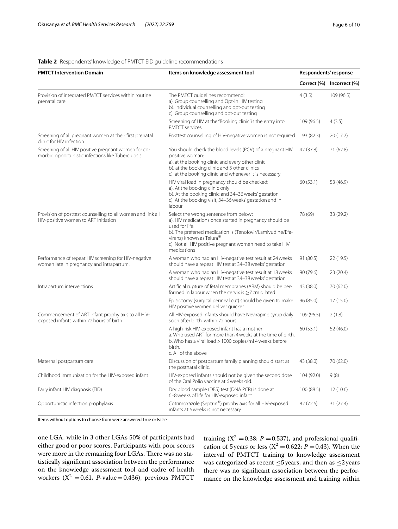## <span id="page-5-0"></span>**Table 2** Respondents' knowledge of PMTCT EID guideline recommendations

| <b>PMTCT Intervention Domain</b>                                                                          | Items on knowledge assessment tool                                                                                                                                                                                                                                                      | Respondents' response |                           |
|-----------------------------------------------------------------------------------------------------------|-----------------------------------------------------------------------------------------------------------------------------------------------------------------------------------------------------------------------------------------------------------------------------------------|-----------------------|---------------------------|
|                                                                                                           |                                                                                                                                                                                                                                                                                         |                       | Correct (%) Incorrect (%) |
| Provision of integrated PMTCT services within routine<br>prenatal care                                    | The PMTCT guidelines recommend:<br>a). Group counselling and Opt-in HIV testing<br>b). Individual counselling and opt-out testing<br>c). Group counselling and opt-out testing                                                                                                          | 4(3.5)                | 109 (96.5)                |
|                                                                                                           | Screening of HIV at the "Booking clinic' is the entry into<br>PMTCT services                                                                                                                                                                                                            | 109 (96.5)            | 4(3.5)                    |
| Screening of all pregnant women at their first prenatal<br>clinic for HIV infection                       | Posttest counselling of HIV-negative women is not required                                                                                                                                                                                                                              | 193 (82.3)            | 20(17.7)                  |
| Screening of all HIV positive pregnant women for co-<br>morbid opportunistic infections like Tuberculosis | You should check the blood levels (PCV) of a pregnant HIV<br>positive woman:<br>a). at the booking clinic and every other clinic<br>b). at the booking clinic and 3 other clinics<br>c). at the booking clinic and whenever it is necessary                                             | 42 (37.8)             | 71 (62.8)                 |
|                                                                                                           | HIV viral load in pregnancy should be checked:<br>a). At the booking clinic only<br>b). At the booking clinic and 34-36 weeks' gestation<br>c). At the booking visit, 34-36 weeks' gestation and in<br>labour                                                                           | 60(53.1)              | 53 (46.9)                 |
| Provision of posttest counselling to all women and link all<br>HIV-positive women to ART initiation       | Select the wrong sentence from below:<br>a). HIV medications once started in pregnancy should be<br>used for life.<br>b). The preferred medication is (Tenofovir/Lamivudine/Efa-<br>virenz) known as Telura®<br>c). Not all HIV positive pregnant women need to take HIV<br>medications | 78 (69)               | 33 (29.2)                 |
| Performance of repeat HIV screening for HIV-negative<br>women late in pregnancy and intrapartum.          | A woman who had an HIV-negative test result at 24 weeks<br>should have a repeat HIV test at 34-38 weeks' gestation                                                                                                                                                                      | 91 (80.5)             | 22 (19.5)                 |
|                                                                                                           | A woman who had an HIV-negative test result at 18 weeks<br>should have a repeat HIV test at 34-38 weeks' gestation                                                                                                                                                                      | 90 (79.6)             | 23 (20.4)                 |
| Intrapartum interventions                                                                                 | Artificial rupture of fetal membranes (ARM) should be per-<br>formed in labour when the cervix is >7 cm dilated                                                                                                                                                                         | 43 (38.0)             | 70 (62.0)                 |
|                                                                                                           | Episiotomy (surgical perineal cut) should be given to make<br>HIV positive women deliver quicker.                                                                                                                                                                                       | 96 (85.0)             | 17 (15.0)                 |
| Commencement of ART infant prophylaxis to all HIV-<br>exposed infants within 72 hours of birth            | All HIV-exposed infants should have Nevirapine syrup daily<br>soon after birth, within 72 hours.                                                                                                                                                                                        | 109 (96.5)            | 2(1.8)                    |
|                                                                                                           | A high-risk HIV-exposed infant has a mother:<br>a. Who used ART for more than 4 weeks at the time of birth.<br>b. Who has a viral load > 1000 copies/ml 4 weeks before<br>birth.<br>c. All of the above                                                                                 | 60(53.1)              | 52(46.0)                  |
| Maternal postpartum care                                                                                  | Discussion of postpartum family planning should start at<br>the postnatal clinic.                                                                                                                                                                                                       | 43 (38.0)             | 70 (62.0)                 |
| Childhood immunization for the HIV-exposed infant                                                         | HIV-exposed infants should not be given the second dose<br>of the Oral Polio vaccine at 6 weeks old.                                                                                                                                                                                    | 104 (92.0)            | 9(8)                      |
| Early infant HIV diagnosis (EID)                                                                          | Dry blood sample (DBS) test (DNA PCR) is done at<br>6-8 weeks of life for HIV-exposed infant                                                                                                                                                                                            | 100 (88.5)            | 12(10.6)                  |
| Opportunistic infection prophylaxis                                                                       | Cotrimoxazole (Septrin®) prophylaxis for all HIV-exposed<br>infants at 6 weeks is not necessary.                                                                                                                                                                                        | 82 (72.6)             | 31(27.4)                  |

Items without options to choose from were answered True or False

one LGA, while in 3 other LGAs 50% of participants had either good or poor scores. Participants with poor scores were more in the remaining four LGAs. There was no statistically signifcant association between the performance on the knowledge assessment tool and cadre of health workers  $(X^2 = 0.61, P-value = 0.436)$ , previous PMTCT training  $(X^2 = 0.38; P = 0.537)$ , and professional qualification of 5 years or less ( $X^2 = 0.622$ ; *P* = 0.43). When the interval of PMTCT training to knowledge assessment was categorized as recent  $\leq$ 5 years, and then as  $\leq$ 2 years there was no signifcant association between the performance on the knowledge assessment and training within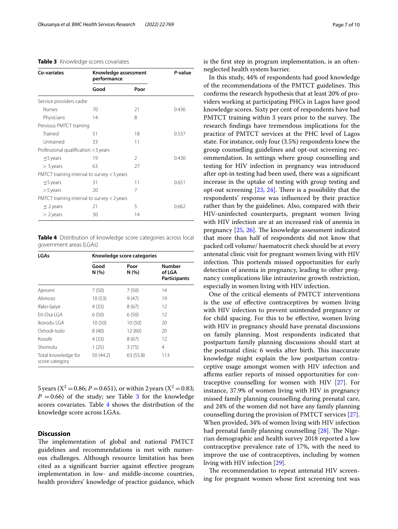## <span id="page-6-1"></span>**Table 3** Knowledge scores covariates

| Co-variates                         | Knowledge assessment<br>performance         |               | P-value |
|-------------------------------------|---------------------------------------------|---------------|---------|
|                                     | Good                                        | Poor          |         |
| Service providers cadre             |                                             |               |         |
| <b>Nurses</b>                       | 70                                          | 21            | 0.436   |
| Physicians                          | 14                                          | 8             |         |
| Previous PMTCT training             |                                             |               |         |
| Trained                             | 51                                          | 18            | 0.537   |
| Untrained                           | 33                                          | 11            |         |
| Professional qualification <5 years |                                             |               |         |
| $\leq$ 5 years                      | 19                                          | $\mathcal{P}$ | 0.430   |
| $> 5$ years                         | 63                                          | 27            |         |
|                                     | PMTCT training interval to survey < 5 years |               |         |
| $\leq$ 5 years                      | 31                                          | 11            | 0.651   |
| $>$ 5 years                         | 20                                          | 7             |         |
|                                     | PMTCT training interval to survey < 2 years |               |         |
| $\leq$ 2 years                      | 21                                          | 5             | 0.662   |
| $> 2$ years                         | 30                                          | 14            |         |
|                                     |                                             |               |         |

<span id="page-6-0"></span>**Table 4** Distribution of knowledge score categories across local government areas (LGAs)

| LGAs                                  | Knowledge score categories |               |                                         |
|---------------------------------------|----------------------------|---------------|-----------------------------------------|
|                                       | Good<br>N (%)              | Poor<br>N (%) | <b>Number</b><br>of LGA<br>Participants |
| Ajeromi                               | 7(50)                      | 7(50)         | 14                                      |
| Alimoso                               | 10(53)                     | 9 (47)        | 19                                      |
| Ifako-Ijaiye                          | 4 (33)                     | 8(67)         | 12                                      |
| $Fit-Osa$ I GA                        | 6(50)                      | 6(50)         | 12                                      |
| Ikorodu I GA                          | 10(50)                     | 10(50)        | 20                                      |
| Oshodi-Isolo                          | 8(40)                      | 12 (60)       | 20                                      |
| Kosofe                                | 4 (33)                     | 8(67)         | 12                                      |
| Shomolu                               | 1(25)                      | 3(75)         | 4                                       |
| Total knowledge for<br>score category | 50 (44.2)                  | 63 (55.8)     | 113                                     |

5 years ( $X^2 = 0.86$ ; *P* = 0.651), or within 2 years ( $X^2 = 0.83$ ;  $P = 0.66$ ) of the study; see Table [3](#page-6-1) for the knowledge scores covariates. Table [4](#page-6-0) shows the distribution of the knowledge score across LGAs.

## **Discussion**

The implementation of global and national PMTCT guidelines and recommendations is met with numerous challenges. Although resource limitation has been cited as a signifcant barrier against efective program implementation in low- and middle-income countries, health providers' knowledge of practice guidance, which is the frst step in program implementation, is an oftenneglected health system barrier.

In this study, 44% of respondents had good knowledge of the recommendations of the PMTCT guidelines. This confrms the research hypothesis that at least 20% of providers working at participating PHCs in Lagos have good knowledge scores. Sixty per cent of respondents have had PMTCT training within 3 years prior to the survey. The research fndings have tremendous implications for the practice of PMTCT services at the PHC level of Lagos state. For instance, only four (3.5%) respondents knew the group counselling guidelines and opt-out screening recommendation. In settings where group counselling and testing for HIV infection in pregnancy was introduced after opt-in testing had been used, there was a signifcant increase in the uptake of testing with group testing and opt-out screening  $[23, 24]$  $[23, 24]$  $[23, 24]$  $[23, 24]$ . There is a possibility that the respondents' response was infuenced by their practice rather than by the guidelines. Also, compared with their HIV-uninfected counterparts, pregnant women living with HIV infection are at an increased risk of anemia in pregnancy  $[25, 26]$  $[25, 26]$  $[25, 26]$  $[25, 26]$  $[25, 26]$ . The knowledge assessment indicated that more than half of respondents did not know that packed cell volume/ haematocrit check should be at every antenatal clinic visit for pregnant women living with HIV infection. This portends missed opportunities for early detection of anemia in pregnancy, leading to other pregnancy complications like intrauterine growth restriction, especially in women living with HIV infection.

One of the critical elements of PMTCT interventions is the use of efective contraceptives by women living with HIV infection to prevent unintended pregnancy or for child spacing. For this to be efective, women living with HIV in pregnancy should have prenatal discussions on family planning. Most respondents indicated that postpartum family planning discussions should start at the postnatal clinic 6 weeks after birth. This inaccurate knowledge might explain the low postpartum contraceptive usage amongst women with HIV infection and affirms earlier reports of missed opportunities for contraceptive counselling for women with HIV [\[27](#page-9-16)]. For instance, 37.9% of women living with HIV in pregnancy missed family planning counselling during prenatal care, and 24% of the women did not have any family planning counselling during the provision of PMTCT services [\[27](#page-9-16)]. When provided, 34% of women living with HIV infection had prenatal family planning counselling  $[28]$  $[28]$ . The Nigerian demographic and health survey 2018 reported a low contraceptive prevalence rate of 17%, with the need to improve the use of contraceptives, including by women living with HIV infection [\[29](#page-9-18)].

The recommendation to repeat antenatal HIV screening for pregnant women whose frst screening test was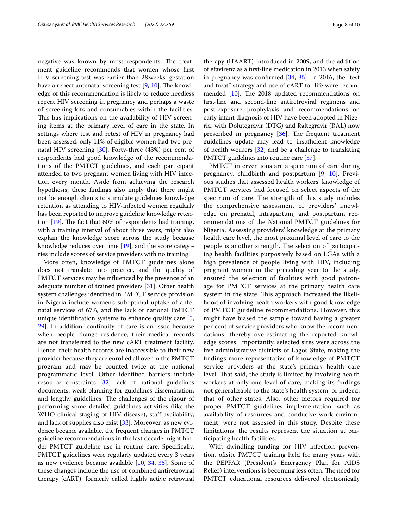negative was known by most respondents. The treatment guideline recommends that women whose frst HIV screening test was earlier than 28weeks' gestation have a repeat antenatal screening test  $[9, 10]$  $[9, 10]$  $[9, 10]$ . The knowledge of this recommendation is likely to reduce needless repeat HIV screening in pregnancy and perhaps a waste of screening kits and consumables within the facilities. This has implications on the availability of HIV screening items at the primary level of care in the state. In settings where test and retest of HIV in pregnancy had been assessed, only 11% of eligible women had two prenatal HIV screening [\[30\]](#page-9-19). Forty-three (43%) per cent of respondents had good knowledge of the recommendations of the PMTCT guidelines, and each participant attended to two pregnant women living with HIV infection every month. Aside from achieving the research hypothesis, these fndings also imply that there might not be enough clients to stimulate guidelines knowledge retention as attending to HIV-infected women regularly has been reported to improve guideline knowledge retention  $[19]$  $[19]$ . The fact that 60% of respondents had training, with a training interval of about three years, might also explain the knowledge score across the study because knowledge reduces over time [[19\]](#page-9-8), and the score categories include scores of service providers with no training.

More often, knowledge of PMTCT guidelines alone does not translate into practice, and the quality of PMTCT services may be infuenced by the presence of an adequate number of trained providers [\[31](#page-9-20)]. Other health system challenges identifed in PMTCT service provision in Nigeria include women's suboptimal uptake of antenatal services of 67%, and the lack of national PMTCT unique identifcation systems to enhance quality care [\[5](#page-8-4), [29\]](#page-9-18). In addition, continuity of care is an issue because when people change residence, their medical records are not transferred to the new cART treatment facility. Hence, their health records are inaccessible to their new provider because they are enrolled all over in the PMTCT program and may be counted twice at the national programmatic level. Other identifed barriers include resource constraints [\[32\]](#page-9-21) lack of national guidelines documents, weak planning for guidelines dissemination, and lengthy guidelines. The challenges of the rigour of performing some detailed guidelines activities (like the WHO clinical staging of HIV disease), staff availability, and lack of supplies also exist [[33](#page-9-22)]. Moreover, as new evidence became available, the frequent changes in PMTCT guideline recommendations in the last decade might hinder PMTCT guideline use in routine care. Specifcally, PMTCT guidelines were regularly updated every 3 years as new evidence became available [[10,](#page-8-9) [34](#page-9-23), [35\]](#page-9-24). Some of these changes include the use of combined antiretroviral therapy (cART), formerly called highly active retroviral therapy (HAART) introduced in 2009, and the addition of efavirenz as a frst-line medication in 2013 when safety in pregnancy was confrmed [\[34,](#page-9-23) [35\]](#page-9-24). In 2016, the "test and treat" strategy and use of cART for life were recommended  $[10]$ . The 2018 updated recommendations on frst-line and second-line antiretroviral regimens and post-exposure prophylaxis and recommendations on early infant diagnosis of HIV have been adopted in Nigeria, with Dolutegravir (DTG) and Raltegravir (RAL) now prescribed in pregnancy  $[36]$  $[36]$ . The frequent treatment guidelines update may lead to insufficient knowledge of health workers [[32\]](#page-9-21) and be a challenge to translating PMTCT guidelines into routine care [[37](#page-9-26)].

PMTCT interventions are a spectrum of care during pregnancy, childbirth and postpartum [\[9](#page-8-8), [10\]](#page-8-9). Previous studies that assessed health workers' knowledge of PMTCT services had focused on select aspects of the spectrum of care. The strength of this study includes the comprehensive assessment of providers' knowledge on prenatal, intrapartum, and postpartum recommendations of the National PMTCT guidelines for Nigeria. Assessing providers' knowledge at the primary health care level, the most proximal level of care to the people is another strength. The selection of participating health facilities purposively based on LGAs with a high prevalence of people living with HIV, including pregnant women in the preceding year to the study, ensured the selection of facilities with good patronage for PMTCT services at the primary health care system in the state. This approach increased the likelihood of involving health workers with good knowledge of PMTCT guideline recommendations. However, this might have biased the sample toward having a greater per cent of service providers who know the recommendations, thereby overestimating the reported knowledge scores. Importantly, selected sites were across the fve administrative districts of Lagos State, making the fndings more representative of knowledge of PMTCT service providers at the state's primary health care level. That said, the study is limited by involving health workers at only one level of care, making its fndings not generalizable to the state's health system, or indeed, that of other states. Also, other factors required for proper PMTCT guidelines implementation, such as availability of resources and conducive work environment, were not assessed in this study. Despite these limitations, the results represent the situation at participating health facilities.

With dwindling funding for HIV infection prevention, offsite PMTCT training held for many years with the PEPFAR (President's Emergency Plan for AIDS Relief) interventions is becoming less often. The need for PMTCT educational resources delivered electronically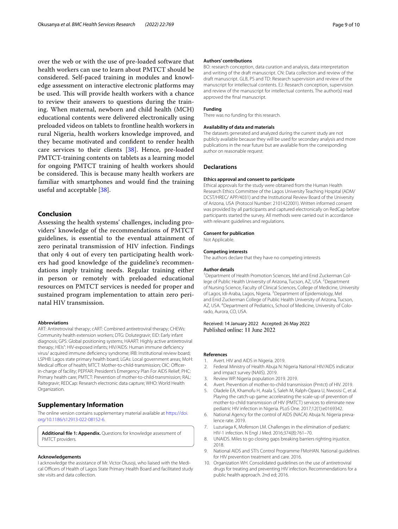over the web or with the use of pre-loaded software that health workers can use to learn about PMTCT should be considered. Self-paced training in modules and knowledge assessment on interactive electronic platforms may be used. This will provide health workers with a chance to review their answers to questions during the training. When maternal, newborn and child health (MCH) educational contents were delivered electronically using preloaded videos on tablets to frontline health workers in rural Nigeria, health workers knowledge improved, and they became motivated and confdent to render health care services to their clients [\[38](#page-9-27)]. Hence, pre-loaded PMTCT-training contents on tablets as a learning model for ongoing PMTCT training of health workers should be considered. This is because many health workers are familiar with smartphones and would fnd the training useful and acceptable [\[38](#page-9-27)].

## **Conclusion**

Assessing the health systems' challenges, including providers' knowledge of the recommendations of PMTCT guidelines, is essential to the eventual attainment of zero perinatal transmission of HIV infection. Findings that only 4 out of every ten participating health workers had good knowledge of the guideline's recommendations imply training needs. Regular training either in person or remotely with preloaded educational resources on PMTCT services is needed for proper and sustained program implementation to attain zero perinatal HIV transmission.

#### **Abbreviations**

ART: Antiretroviral therapy; cART: Combined antiretroviral therapy; CHEWs: Community health extension workers; DTG: Dolutegravir; EID: Early infant diagnosis; GPS: Global positioning systems; HAART: Highly active antiretroviral therapy; HEIs": HIV-exposed infants; HIV/AIDS: Human immune defciency virus/ acquired immune defciency syndrome; IRB: Institutional review board; LSPHB: Lagos state primary health board; LGAs: Local government areas; MoH: Medical officer of health: MTCT: Mother-to-child-transmission: OIC: Officerin-charge of facility; PEPFAR: President's Emergency Plan For AIDS Relief; PHC: Primary health care; PMTCT: Prevention of mother-to-child-transmission; RAL: Raltegravir; REDCap: Research electronic data capture; WHO: World Health Organization.

### **Supplementary Information**

The online version contains supplementary material available at [https://doi.](https://doi.org/10.1186/s12913-022-08152-6) [org/10.1186/s12913-022-08152-6](https://doi.org/10.1186/s12913-022-08152-6).

<span id="page-8-10"></span>**Additional fle 1: Appendix.** Questions for knowledge assessment of PMTCT providers.

#### **Acknowledgements**

I acknowledge the assistance of Mr. Victor Olusoji, who liaised with the Medical Officers of Health of Lagos State Primary Health Board and facilitated study site visits and data collection.

#### **Authors' contributions**

BO: research conception, data curation and analysis, data interpretation and writing of the draft manuscript. CN: Data collection and review of the draft manuscript. GLB, PS and TD: Research supervision and review of the manuscript for intellectual contents. EJ: Research conception, supervision and review of the manuscript for intellectual contents. The author(s) read approved the fnal manuscript.

#### **Funding**

There was no funding for this research.

#### **Availability of data and materials**

The datasets generated and analyzed during the current study are not publicly available because they will be used for secondary analysis and more publications in the near future but are available from the corresponding author on reasonable request.

#### **Declarations**

#### **Ethics approval and consent to participate**

Ethical approvals for the study were obtained from the Human Health Research Ethics Committee of the Lagos University Teaching Hospital (ADM/ DCST/HREC/ APP/4031) and the Institutional Review Board of the University of Arizona, USA (Protocol Number: 2101422001). Written informed consent was provided by all participants and captured electronically on RedCap before participants started the survey. All methods were carried out in accordance with relevant guidelines and regulations.

#### **Consent for publication**

Not Applicable.

### **Competing interests**

The authors declare that they have no competing interests

#### **Author details**

<sup>1</sup> Department of Health Promotion Sciences, Mel and Enid Zuckerman College of Public Health University of Arizona, Tucson, AZ, USA. <sup>2</sup> Department of Nursing Science, Faculty of Clinical Sciences, College of Medicine, University of Lagos, Idi-Araba, Lagos, Nigeria. <sup>3</sup> Department of Epidemiology, Mel and Enid Zuckerman College of Public Health University of Arizona, Tucson, AZ, USA. <sup>4</sup> Department of Pediatrics, School of Medicine, University of Colorado, Aurora, CO, USA.

### Received: 14 January 2022 Accepted: 26 May 2022 Published online: 11 June 2022

#### **References**

- <span id="page-8-0"></span>1. Avert. HIV and AIDS in Nigeria. 2019.
- <span id="page-8-1"></span>2. Federal Ministry of Health Abuja N: Nigeria National HIV/AIDS indicator and impact survey (NAIIS). 2019.
- <span id="page-8-2"></span>3. Review WP. Nigeria population 2019. 2019.
- <span id="page-8-3"></span>4. Avert. Prevention of mother-to-child transmission (Pmtct) of HIV. 2019.
- <span id="page-8-4"></span>5. Oladele EA, Khamofu H, Asala S, Saleh M, Ralph-Opara U, Nwosisi C, et al. Playing the catch-up game: accelerating the scale-up of prevention of mother-to-child transmission of HIV (PMTCT) services to eliminate new pediatric HIV infection in Nigeria. PLoS One. 2017;12(1):e0169342.
- <span id="page-8-5"></span>6. National Agency for the control of AIDS (NACA) Abuja N. Nigeria prevalence rate. 2019.
- <span id="page-8-6"></span>7. Luzuriaga K, Mofenson LM. Challenges in the elimination of pediatric HIV-1 infection. N Engl J Med. 2016;374(8):761–70.
- <span id="page-8-7"></span>8. UNAIDS. Miles to go closing gaps breaking barriers righting injustice. 2018.
- <span id="page-8-8"></span>9. National AIDS and STI's Control Programme FMoHAN. National guidelines for HIV prevention treatment and care. 2016.
- <span id="page-8-9"></span>10. Organization WH. Consolidated guidelines on the use of antiretroviral drugs for treating and preventing HIV infection. Recommendations for a public health approach. 2nd ed; 2016.